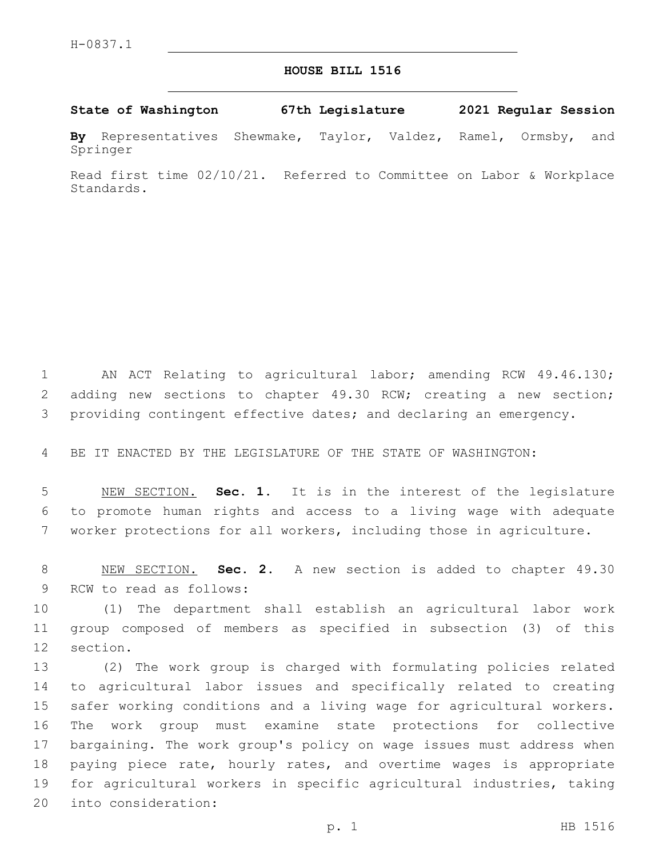## **HOUSE BILL 1516**

**State of Washington 67th Legislature 2021 Regular Session**

**By** Representatives Shewmake, Taylor, Valdez, Ramel, Ormsby, and Springer

Read first time 02/10/21. Referred to Committee on Labor & Workplace Standards.

1 AN ACT Relating to agricultural labor; amending RCW 49.46.130; 2 adding new sections to chapter 49.30 RCW; creating a new section; 3 providing contingent effective dates; and declaring an emergency.

4 BE IT ENACTED BY THE LEGISLATURE OF THE STATE OF WASHINGTON:

5 NEW SECTION. **Sec. 1.** It is in the interest of the legislature 6 to promote human rights and access to a living wage with adequate 7 worker protections for all workers, including those in agriculture.

8 NEW SECTION. **Sec. 2.** A new section is added to chapter 49.30 9 RCW to read as follows:

10 (1) The department shall establish an agricultural labor work 11 group composed of members as specified in subsection (3) of this 12 section.

 (2) The work group is charged with formulating policies related to agricultural labor issues and specifically related to creating safer working conditions and a living wage for agricultural workers. The work group must examine state protections for collective bargaining. The work group's policy on wage issues must address when paying piece rate, hourly rates, and overtime wages is appropriate for agricultural workers in specific agricultural industries, taking 20 into consideration: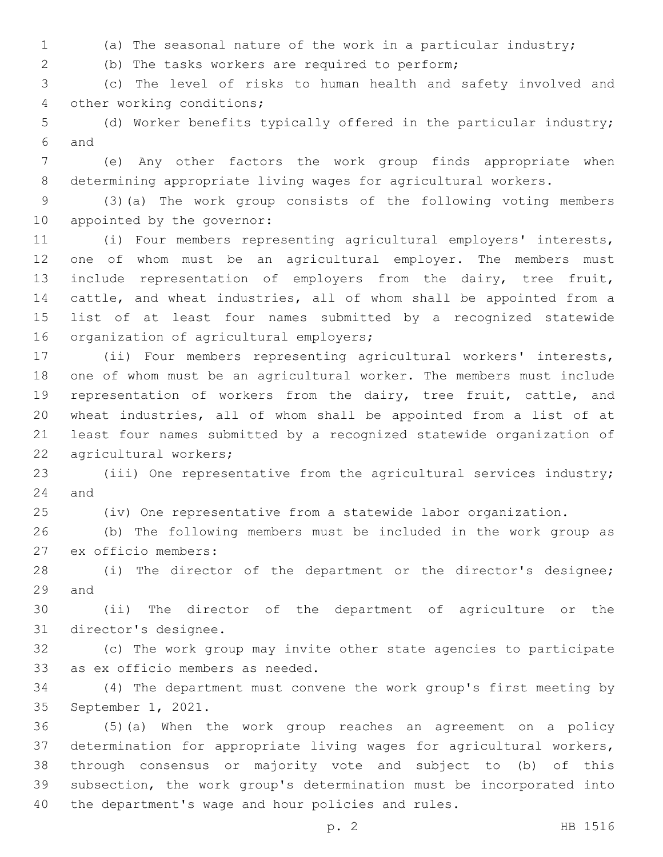(a) The seasonal nature of the work in a particular industry;

(b) The tasks workers are required to perform;2

 (c) The level of risks to human health and safety involved and 4 other working conditions;

 (d) Worker benefits typically offered in the particular industry; 6 and

 (e) Any other factors the work group finds appropriate when determining appropriate living wages for agricultural workers.

 (3)(a) The work group consists of the following voting members 10 appointed by the governor:

 (i) Four members representing agricultural employers' interests, one of whom must be an agricultural employer. The members must 13 include representation of employers from the dairy, tree fruit, cattle, and wheat industries, all of whom shall be appointed from a list of at least four names submitted by a recognized statewide 16 organization of agricultural employers;

 (ii) Four members representing agricultural workers' interests, one of whom must be an agricultural worker. The members must include 19 representation of workers from the dairy, tree fruit, cattle, and wheat industries, all of whom shall be appointed from a list of at least four names submitted by a recognized statewide organization of 22 agricultural workers;

 (iii) One representative from the agricultural services industry; and

(iv) One representative from a statewide labor organization.

 (b) The following members must be included in the work group as 27 ex officio members:

 (i) The director of the department or the director's designee; 29 and

 (ii) The director of the department of agriculture or the 31 director's designee.

 (c) The work group may invite other state agencies to participate 33 as ex officio members as needed.

 (4) The department must convene the work group's first meeting by 35 September 1, 2021.

 (5)(a) When the work group reaches an agreement on a policy determination for appropriate living wages for agricultural workers, through consensus or majority vote and subject to (b) of this subsection, the work group's determination must be incorporated into the department's wage and hour policies and rules.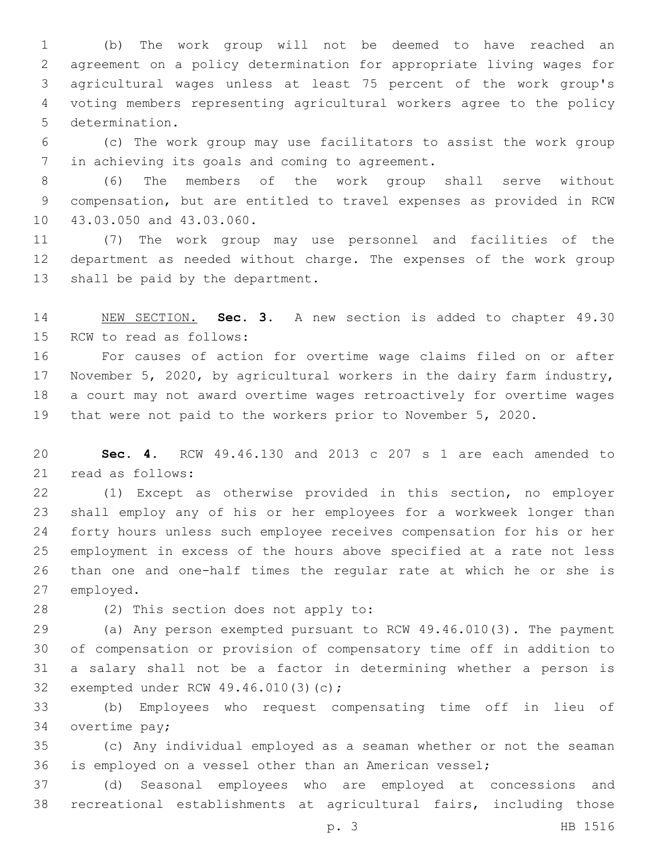(b) The work group will not be deemed to have reached an agreement on a policy determination for appropriate living wages for agricultural wages unless at least 75 percent of the work group's voting members representing agricultural workers agree to the policy 5 determination.

 (c) The work group may use facilitators to assist the work group 7 in achieving its goals and coming to agreement.

 (6) The members of the work group shall serve without compensation, but are entitled to travel expenses as provided in RCW 10 43.03.050 and 43.03.060.

 (7) The work group may use personnel and facilities of the department as needed without charge. The expenses of the work group 13 shall be paid by the department.

 NEW SECTION. **Sec. 3.** A new section is added to chapter 49.30 15 RCW to read as follows:

 For causes of action for overtime wage claims filed on or after November 5, 2020, by agricultural workers in the dairy farm industry, a court may not award overtime wages retroactively for overtime wages that were not paid to the workers prior to November 5, 2020.

 **Sec. 4.** RCW 49.46.130 and 2013 c 207 s 1 are each amended to 21 read as follows:

 (1) Except as otherwise provided in this section, no employer shall employ any of his or her employees for a workweek longer than forty hours unless such employee receives compensation for his or her employment in excess of the hours above specified at a rate not less than one and one-half times the regular rate at which he or she is 27 employed.

28 (2) This section does not apply to:

 (a) Any person exempted pursuant to RCW 49.46.010(3). The payment of compensation or provision of compensatory time off in addition to a salary shall not be a factor in determining whether a person is 32 exempted under RCW 49.46.010(3)(c);

 (b) Employees who request compensating time off in lieu of 34 overtime pay;

 (c) Any individual employed as a seaman whether or not the seaman is employed on a vessel other than an American vessel;

 (d) Seasonal employees who are employed at concessions and recreational establishments at agricultural fairs, including those

p. 3 HB 1516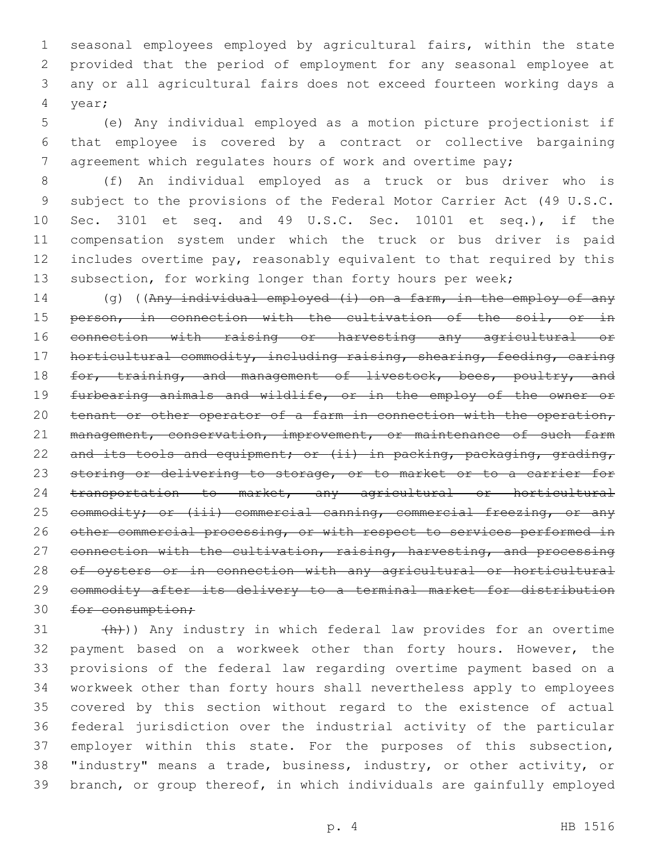seasonal employees employed by agricultural fairs, within the state provided that the period of employment for any seasonal employee at any or all agricultural fairs does not exceed fourteen working days a year;4

 (e) Any individual employed as a motion picture projectionist if that employee is covered by a contract or collective bargaining agreement which regulates hours of work and overtime pay;

 (f) An individual employed as a truck or bus driver who is subject to the provisions of the Federal Motor Carrier Act (49 U.S.C. Sec. 3101 et seq. and 49 U.S.C. Sec. 10101 et seq.), if the compensation system under which the truck or bus driver is paid includes overtime pay, reasonably equivalent to that required by this 13 subsection, for working longer than forty hours per week;

14 (g) ((Any individual employed (i) on a farm, in the employ of any 15 person, in connection with the cultivation of the soil, or in connection with raising or harvesting any agricultural or horticultural commodity, including raising, shearing, feeding, caring 18 for, training, and management of livestock, bees, poultry, and furbearing animals and wildlife, or in the employ of the owner or 20 tenant or other operator of a farm in connection with the operation, 21 management, conservation, improvement, or maintenance of such farm 22 and its tools and equipment; or (ii) in packing, packaging, grading, 23 storing or delivering to storage, or to market or to a carrier for transportation to market, any agricultural or horticultural 25 commodity; or (iii) commercial canning, commercial freezing, or any 26 other commercial processing, or with respect to services performed in 27 connection with the cultivation, raising, harvesting, and processing of oysters or in connection with any agricultural or horticultural commodity after its delivery to a terminal market for distribution 30 for consumption;

 $(4h)$ ) Any industry in which federal law provides for an overtime payment based on a workweek other than forty hours. However, the provisions of the federal law regarding overtime payment based on a workweek other than forty hours shall nevertheless apply to employees covered by this section without regard to the existence of actual federal jurisdiction over the industrial activity of the particular employer within this state. For the purposes of this subsection, "industry" means a trade, business, industry, or other activity, or branch, or group thereof, in which individuals are gainfully employed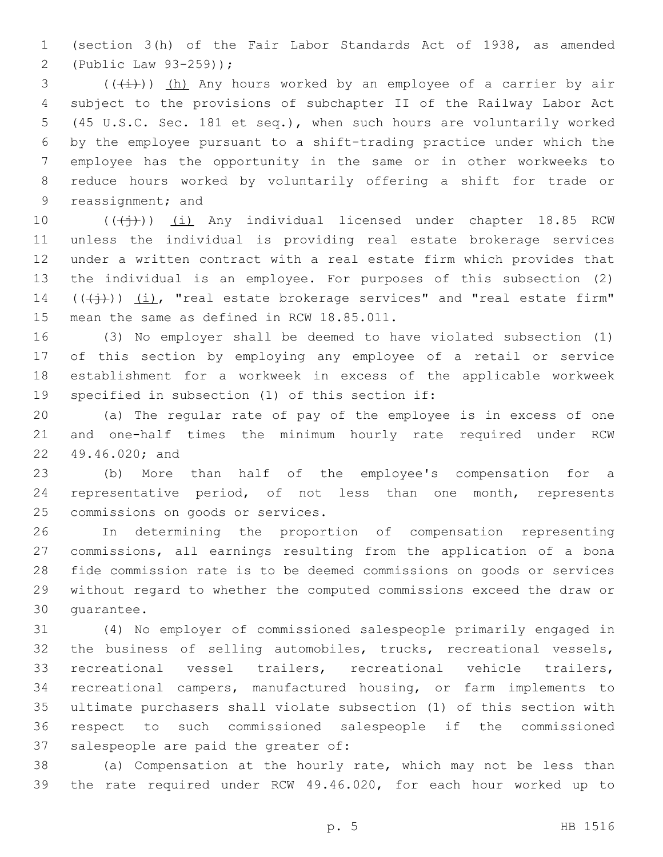(section 3(h) of the Fair Labor Standards Act of 1938, as amended (Public Law 93-259));2

 $\left(\frac{1}{1} \right)$  (( $\frac{1}{1}$ ) (h) Any hours worked by an employee of a carrier by air subject to the provisions of subchapter II of the Railway Labor Act (45 U.S.C. Sec. 181 et seq.), when such hours are voluntarily worked by the employee pursuant to a shift-trading practice under which the employee has the opportunity in the same or in other workweeks to reduce hours worked by voluntarily offering a shift for trade or 9 reassignment; and

10 (((+))) (i) Any individual licensed under chapter 18.85 RCW unless the individual is providing real estate brokerage services under a written contract with a real estate firm which provides that the individual is an employee. For purposes of this subsection (2)  $((\n\dagger)^{\cdot})$   $(i)$ , "real estate brokerage services" and "real estate firm" 15 mean the same as defined in RCW 18.85.011.

 (3) No employer shall be deemed to have violated subsection (1) of this section by employing any employee of a retail or service establishment for a workweek in excess of the applicable workweek 19 specified in subsection (1) of this section if:

 (a) The regular rate of pay of the employee is in excess of one and one-half times the minimum hourly rate required under RCW 22 49.46.020; and

 (b) More than half of the employee's compensation for a representative period, of not less than one month, represents 25 commissions on goods or services.

 In determining the proportion of compensation representing commissions, all earnings resulting from the application of a bona fide commission rate is to be deemed commissions on goods or services without regard to whether the computed commissions exceed the draw or 30 quarantee.

 (4) No employer of commissioned salespeople primarily engaged in the business of selling automobiles, trucks, recreational vessels, recreational vessel trailers, recreational vehicle trailers, recreational campers, manufactured housing, or farm implements to ultimate purchasers shall violate subsection (1) of this section with respect to such commissioned salespeople if the commissioned 37 salespeople are paid the greater of:

 (a) Compensation at the hourly rate, which may not be less than the rate required under RCW 49.46.020, for each hour worked up to